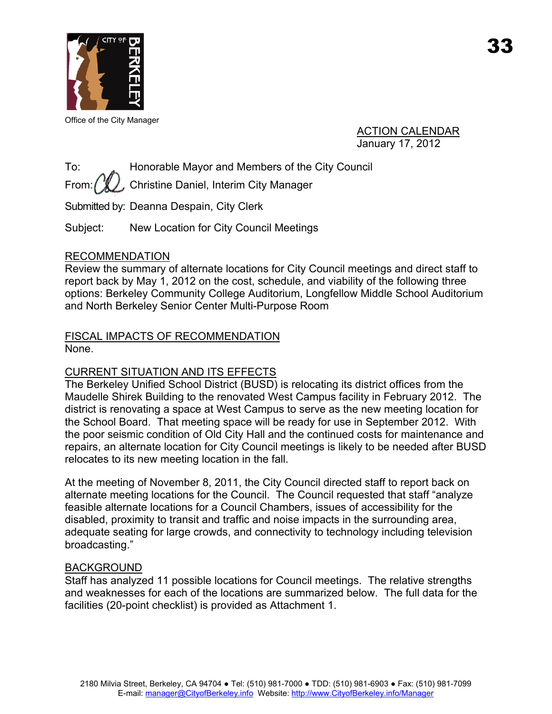

Office of the City Manager

ACTION CALENDAR January 17, 2012

To: Honorable Mayor and Members of the City Council

From:  $\left(\sqrt[n]{\right)}$ , Christine Daniel, Interim City Manager

Submitted by: Deanna Despain, City Clerk

Subject: New Location for City Council Meetings

## RECOMMENDATION

Review the summary of alternate locations for City Council meetings and direct staff to report back by May 1, 2012 on the cost, schedule, and viability of the following three options: Berkeley Community College Auditorium, Longfellow Middle School Auditorium and North Berkeley Senior Center Multi-Purpose Room

## FISCAL IMPACTS OF RECOMMENDATION None.

# CURRENT SITUATION AND ITS EFFECTS

The Berkeley Unified School District (BUSD) is relocating its district offices from the Maudelle Shirek Building to the renovated West Campus facility in February 2012. The district is renovating a space at West Campus to serve as the new meeting location for the School Board. That meeting space will be ready for use in September 2012. With the poor seismic condition of Old City Hall and the continued costs for maintenance and repairs, an alternate location for City Council meetings is likely to be needed after BUSD relocates to its new meeting location in the fall.

At the meeting of November 8, 2011, the City Council directed staff to report back on alternate meeting locations for the Council. The Council requested that staff "analyze feasible alternate locations for a Council Chambers, issues of accessibility for the disabled, proximity to transit and traffic and noise impacts in the surrounding area, adequate seating for large crowds, and connectivity to technology including television broadcasting."

## BACKGROUND

Staff has analyzed 11 possible locations for Council meetings. The relative strengths and weaknesses for each of the locations are summarized below. The full data for the facilities (20-point checklist) is provided as Attachment 1.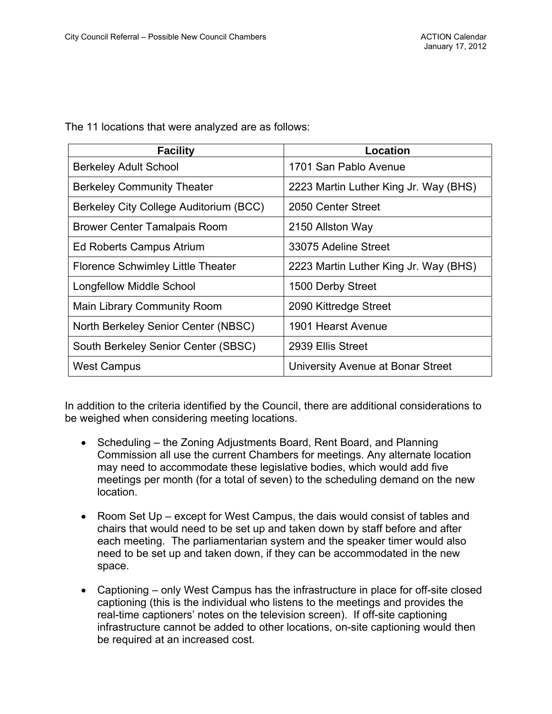| <b>Facility</b>                        | Location                              |
|----------------------------------------|---------------------------------------|
| <b>Berkeley Adult School</b>           | 1701 San Pablo Avenue                 |
| <b>Berkeley Community Theater</b>      | 2223 Martin Luther King Jr. Way (BHS) |
| Berkeley City College Auditorium (BCC) | 2050 Center Street                    |
| Brower Center Tamalpais Room           | 2150 Allston Way                      |
| Ed Roberts Campus Atrium               | 33075 Adeline Street                  |
| Florence Schwimley Little Theater      | 2223 Martin Luther King Jr. Way (BHS) |
| <b>Longfellow Middle School</b>        | 1500 Derby Street                     |
| <b>Main Library Community Room</b>     | 2090 Kittredge Street                 |
| North Berkeley Senior Center (NBSC)    | 1901 Hearst Avenue                    |
| South Berkeley Senior Center (SBSC)    | 2939 Ellis Street                     |
| <b>West Campus</b>                     | University Avenue at Bonar Street     |

The 11 locations that were analyzed are as follows:

In addition to the criteria identified by the Council, there are additional considerations to be weighed when considering meeting locations.

- Scheduling the Zoning Adjustments Board, Rent Board, and Planning Commission all use the current Chambers for meetings. Any alternate location may need to accommodate these legislative bodies, which would add five meetings per month (for a total of seven) to the scheduling demand on the new location.
- Room Set Up except for West Campus, the dais would consist of tables and chairs that would need to be set up and taken down by staff before and after each meeting. The parliamentarian system and the speaker timer would also need to be set up and taken down, if they can be accommodated in the new space.
- Captioning only West Campus has the infrastructure in place for off-site closed captioning (this is the individual who listens to the meetings and provides the real-time captioners' notes on the television screen). If off-site captioning infrastructure cannot be added to other locations, on-site captioning would then be required at an increased cost.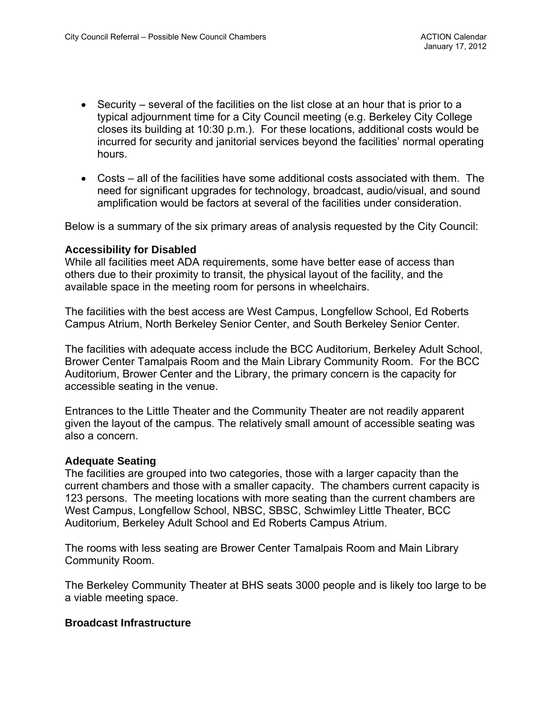- Security several of the facilities on the list close at an hour that is prior to a typical adjournment time for a City Council meeting (e.g. Berkeley City College closes its building at 10:30 p.m.). For these locations, additional costs would be incurred for security and janitorial services beyond the facilities' normal operating hours.
- Costs all of the facilities have some additional costs associated with them. The need for significant upgrades for technology, broadcast, audio/visual, and sound amplification would be factors at several of the facilities under consideration.

Below is a summary of the six primary areas of analysis requested by the City Council:

#### **Accessibility for Disabled**

While all facilities meet ADA requirements, some have better ease of access than others due to their proximity to transit, the physical layout of the facility, and the available space in the meeting room for persons in wheelchairs.

The facilities with the best access are West Campus, Longfellow School, Ed Roberts Campus Atrium, North Berkeley Senior Center, and South Berkeley Senior Center.

The facilities with adequate access include the BCC Auditorium, Berkeley Adult School, Brower Center Tamalpais Room and the Main Library Community Room. For the BCC Auditorium, Brower Center and the Library, the primary concern is the capacity for accessible seating in the venue.

Entrances to the Little Theater and the Community Theater are not readily apparent given the layout of the campus. The relatively small amount of accessible seating was also a concern.

#### **Adequate Seating**

The facilities are grouped into two categories, those with a larger capacity than the current chambers and those with a smaller capacity. The chambers current capacity is 123 persons. The meeting locations with more seating than the current chambers are West Campus, Longfellow School, NBSC, SBSC, Schwimley Little Theater, BCC Auditorium, Berkeley Adult School and Ed Roberts Campus Atrium.

The rooms with less seating are Brower Center Tamalpais Room and Main Library Community Room.

The Berkeley Community Theater at BHS seats 3000 people and is likely too large to be a viable meeting space.

#### **Broadcast Infrastructure**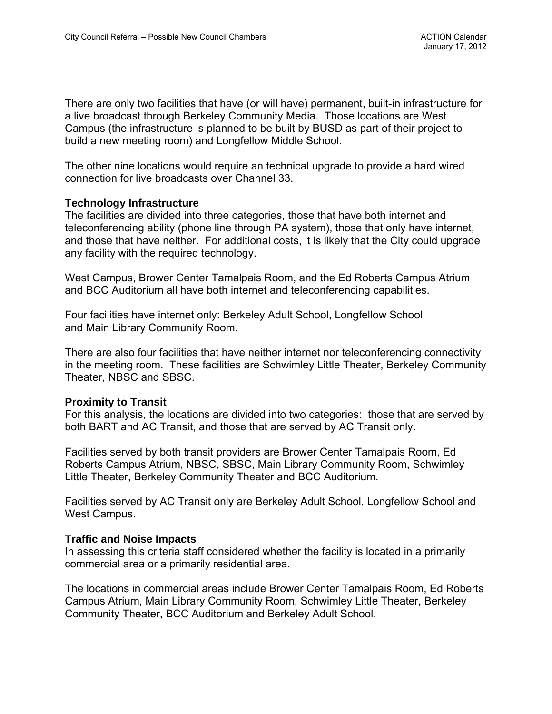There are only two facilities that have (or will have) permanent, built-in infrastructure for a live broadcast through Berkeley Community Media. Those locations are West Campus (the infrastructure is planned to be built by BUSD as part of their project to build a new meeting room) and Longfellow Middle School.

The other nine locations would require an technical upgrade to provide a hard wired connection for live broadcasts over Channel 33.

### **Technology Infrastructure**

The facilities are divided into three categories, those that have both internet and teleconferencing ability (phone line through PA system), those that only have internet, and those that have neither. For additional costs, it is likely that the City could upgrade any facility with the required technology.

West Campus, Brower Center Tamalpais Room, and the Ed Roberts Campus Atrium and BCC Auditorium all have both internet and teleconferencing capabilities.

Four facilities have internet only: Berkeley Adult School, Longfellow School and Main Library Community Room.

There are also four facilities that have neither internet nor teleconferencing connectivity in the meeting room. These facilities are Schwimley Little Theater, Berkeley Community Theater, NBSC and SBSC.

### **Proximity to Transit**

For this analysis, the locations are divided into two categories: those that are served by both BART and AC Transit, and those that are served by AC Transit only.

Facilities served by both transit providers are Brower Center Tamalpais Room, Ed Roberts Campus Atrium, NBSC, SBSC, Main Library Community Room, Schwimley Little Theater, Berkeley Community Theater and BCC Auditorium.

Facilities served by AC Transit only are Berkeley Adult School, Longfellow School and West Campus.

### **Traffic and Noise Impacts**

In assessing this criteria staff considered whether the facility is located in a primarily commercial area or a primarily residential area.

The locations in commercial areas include Brower Center Tamalpais Room, Ed Roberts Campus Atrium, Main Library Community Room, Schwimley Little Theater, Berkeley Community Theater, BCC Auditorium and Berkeley Adult School.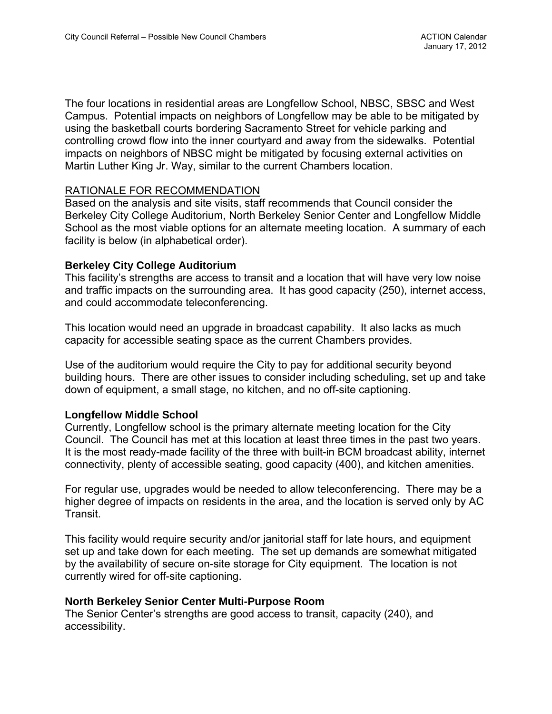The four locations in residential areas are Longfellow School, NBSC, SBSC and West Campus. Potential impacts on neighbors of Longfellow may be able to be mitigated by using the basketball courts bordering Sacramento Street for vehicle parking and controlling crowd flow into the inner courtyard and away from the sidewalks. Potential impacts on neighbors of NBSC might be mitigated by focusing external activities on Martin Luther King Jr. Way, similar to the current Chambers location.

## RATIONALE FOR RECOMMENDATION

Based on the analysis and site visits, staff recommends that Council consider the Berkeley City College Auditorium, North Berkeley Senior Center and Longfellow Middle School as the most viable options for an alternate meeting location. A summary of each facility is below (in alphabetical order).

### **Berkeley City College Auditorium**

This facility's strengths are access to transit and a location that will have very low noise and traffic impacts on the surrounding area. It has good capacity (250), internet access, and could accommodate teleconferencing.

This location would need an upgrade in broadcast capability. It also lacks as much capacity for accessible seating space as the current Chambers provides.

Use of the auditorium would require the City to pay for additional security beyond building hours. There are other issues to consider including scheduling, set up and take down of equipment, a small stage, no kitchen, and no off-site captioning.

### **Longfellow Middle School**

Currently, Longfellow school is the primary alternate meeting location for the City Council. The Council has met at this location at least three times in the past two years. It is the most ready-made facility of the three with built-in BCM broadcast ability, internet connectivity, plenty of accessible seating, good capacity (400), and kitchen amenities.

For regular use, upgrades would be needed to allow teleconferencing. There may be a higher degree of impacts on residents in the area, and the location is served only by AC Transit.

This facility would require security and/or janitorial staff for late hours, and equipment set up and take down for each meeting. The set up demands are somewhat mitigated by the availability of secure on-site storage for City equipment. The location is not currently wired for off-site captioning.

### **North Berkeley Senior Center Multi-Purpose Room**

The Senior Center's strengths are good access to transit, capacity (240), and accessibility.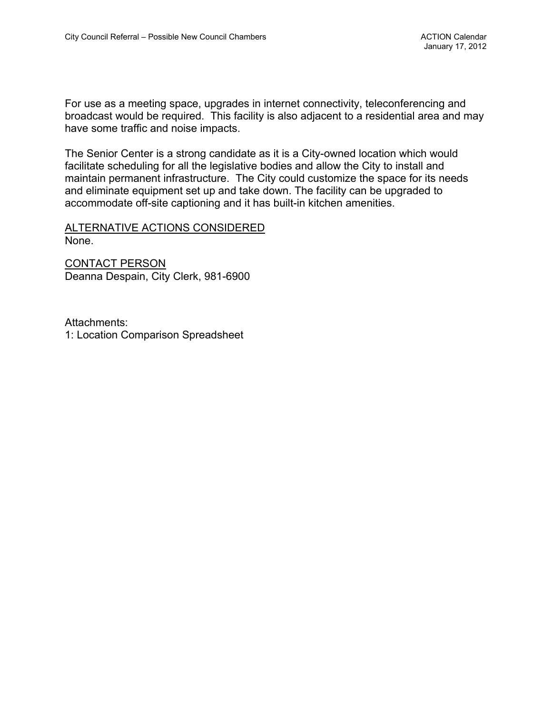For use as a meeting space, upgrades in internet connectivity, teleconferencing and broadcast would be required. This facility is also adjacent to a residential area and may have some traffic and noise impacts.

The Senior Center is a strong candidate as it is a City-owned location which would facilitate scheduling for all the legislative bodies and allow the City to install and maintain permanent infrastructure. The City could customize the space for its needs and eliminate equipment set up and take down. The facility can be upgraded to accommodate off-site captioning and it has built-in kitchen amenities.

#### ALTERNATIVE ACTIONS CONSIDERED None.

CONTACT PERSON Deanna Despain, City Clerk, 981-6900

Attachments: 1: Location Comparison Spreadsheet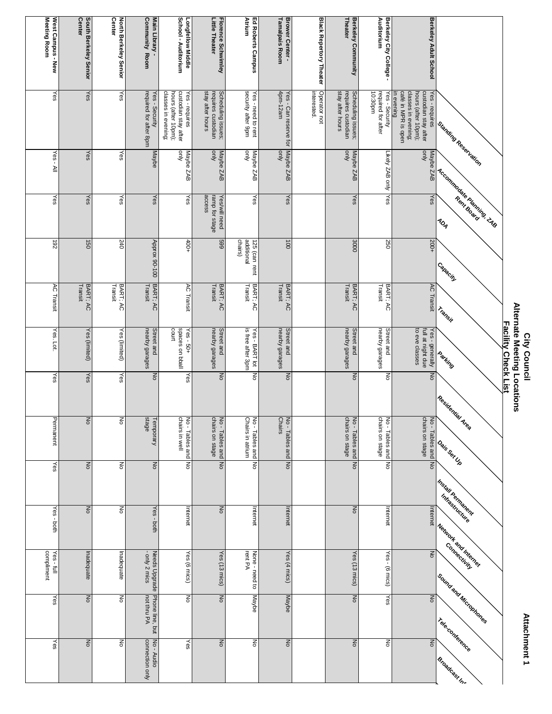| West Campus - New<br><b>Center</b><br>South Berkeley Senior<br>Yes<br>Yes<br>Yes<br>Yes - All<br>Yes<br>Yes<br>192<br>150<br>BART; AC<br><b>AC Transit</b><br>Transit<br>Yes. Lot.<br>Yes (limited)<br>Yes<br>Yes<br>Permanent<br>ㅎ<br>Yes<br>$\overline{6}$<br>ξ<br>Inadequate<br>$\overline{6}$ |                           | North Berkeley Senior<br>Center<br>Yes<br>Yes<br>Yes<br>240<br>Transit<br>BART; AC<br>Yes (limited)<br>Yes<br>Po<br>종<br>종<br>Inadequate<br>종 | <b>Community Room</b><br>Main Library -<br>required for after 8pm<br>Yes - Security<br>Maybe<br>Yes<br><b>Approx 90-100</b><br>BART; AC<br>Transit<br>nearby garages<br>Street and<br>ON<br>stage<br>emporary<br>$\mathop{\mathsf{S}}\nolimits$<br>Yes-<br>both<br>- only 2 mics<br>Needs<br>Upgrade | School - Auditorium<br>Longfellow Middle<br>classes in evening;<br>hours (after 10pm);<br>custodian stay after<br>Yes - requires<br>Auo<br>Maybe ZAB<br>Yes<br>$400+$<br><b>AC Transit</b><br>spaces on bball<br>court<br>$Yes - 50+$<br>Yes<br>chairs in well<br>lo - Tables and<br>δ<br>Internet<br>Yes (6 mics)<br><b>DO</b> | Little Theater<br>Florence Schwimley<br>stay after hours<br>Scheduling issues;<br>requires custodian<br><b>Ajuo</b><br>Maybe ZAB<br>access<br>Yes/will need<br>ramp for stage<br>669<br>Transit<br>BART; AC<br>nearby garages<br>Street and<br>$\overline{a}$<br>chairs on stage<br>Vo - Tables and No<br>$\mathop{\hbox{\bf Z}}$<br>Yes (13 mics)<br><b>No</b> | Atrium<br>Ed Roberts Campus<br>security after 9pm<br>Yes - need to rent<br>Λμο<br>Maybe ZAB<br>Yes<br>chairs)<br>additional<br>125 (can rent<br>BART; AC<br>Transit<br>is free after 3pm<br>Yes - BART lot<br>ŠΡ<br>No - Tables and<br>Chairs in atrium<br>ξ<br>Internet<br>None - need to<br>rent PA<br>Maybe | <b>Tamalpais Room</b><br>Brower Center -<br>4pm-12am<br>Yes - Can reserve for<br><b>Ajuo</b><br>Maybe ZAB<br>Yes<br>100<br>Transit<br>BART; AC<br>nearby garages<br>Street and<br>$\overline{a}$<br><b>Chairs</b><br>Jo - Tables and<br>$\overline{z}$<br>Internet<br>Yes (4 mics)<br>Maybe | <b>Black Repertory Theater</b><br>interested.<br>Operator not | Berkeley Community<br>Theater<br>stay after hours<br>Scheduling issues;<br>requires custodian<br>Nuo<br>Maybe ZAB<br>Yes<br>3000<br>Transit<br>BART; AC<br>nearby garages<br>Street and<br>$\overline{a}$<br>chairs on stage<br><b>Jo-Tables</b> and<br>$\overline{a}$<br>$\mathop{\hbox{\bf Z}}$<br>Yes (13 mics)<br>$\preceq$ | Berkeley City College -<br>Auditorium<br>mq08:01<br>required for after<br>Yes - Security<br>Likely ZAB only<br>Yes<br>250<br>Transit<br>BART; AC<br>nearby garages<br>Street and<br>ξ<br>chairs on stage<br>No - Tables and<br>δ<br>Internet<br>$-$ se $\lambda$<br>(m)<br>Yes | Berkeley Adult School<br>classes in evening;<br>custodian stay after<br>Yes-requires<br>caté in MPR is open<br>hours (after 10pm);<br>in evening<br><b>Auo</b><br>Maybe ZAB<br>Yes<br>+002<br>AC Transit<br>to eve classes<br>full at night due<br>Yes - generally<br>$\overline{z}$<br>No - Tables and No<br>chairs on stage<br>Internet<br>ON<br>$\mathsf{g}$ | I Standing Reservation<br>Accommodate Reministração<br><b>I Capacity</b><br>Transit<br><b>I Parking</b><br><b>Residential Area</b><br><b>Sais Ser Up</b><br><b>Install Permanent</b><br>infrastructure<br>« New ork and Interior<br>Connectivity | Alternate Meeting Locations<br><b>Facility Check List</b><br>City Council |
|---------------------------------------------------------------------------------------------------------------------------------------------------------------------------------------------------------------------------------------------------------------------------------------------------|---------------------------|-----------------------------------------------------------------------------------------------------------------------------------------------|------------------------------------------------------------------------------------------------------------------------------------------------------------------------------------------------------------------------------------------------------------------------------------------------------|---------------------------------------------------------------------------------------------------------------------------------------------------------------------------------------------------------------------------------------------------------------------------------------------------------------------------------|-----------------------------------------------------------------------------------------------------------------------------------------------------------------------------------------------------------------------------------------------------------------------------------------------------------------------------------------------------------------|----------------------------------------------------------------------------------------------------------------------------------------------------------------------------------------------------------------------------------------------------------------------------------------------------------------|---------------------------------------------------------------------------------------------------------------------------------------------------------------------------------------------------------------------------------------------------------------------------------------------|---------------------------------------------------------------|---------------------------------------------------------------------------------------------------------------------------------------------------------------------------------------------------------------------------------------------------------------------------------------------------------------------------------|--------------------------------------------------------------------------------------------------------------------------------------------------------------------------------------------------------------------------------------------------------------------------------|-----------------------------------------------------------------------------------------------------------------------------------------------------------------------------------------------------------------------------------------------------------------------------------------------------------------------------------------------------------------|--------------------------------------------------------------------------------------------------------------------------------------------------------------------------------------------------------------------------------------------------|---------------------------------------------------------------------------|
| Yes-<br>poth<br>compliment<br>Yes-full                                                                                                                                                                                                                                                            |                           |                                                                                                                                               |                                                                                                                                                                                                                                                                                                      |                                                                                                                                                                                                                                                                                                                                 |                                                                                                                                                                                                                                                                                                                                                                 |                                                                                                                                                                                                                                                                                                                |                                                                                                                                                                                                                                                                                             |                                                               |                                                                                                                                                                                                                                                                                                                                 |                                                                                                                                                                                                                                                                                |                                                                                                                                                                                                                                                                                                                                                                 |                                                                                                                                                                                                                                                  |                                                                           |
| Yes<br>Yes                                                                                                                                                                                                                                                                                        | $\mathsf{K}^{\mathsf{C}}$ | 종                                                                                                                                             | Phone line, but<br>not thru PA<br>No - Audio<br>connection only                                                                                                                                                                                                                                      | Yes                                                                                                                                                                                                                                                                                                                             | $\mathop{\mathsf{S}}$                                                                                                                                                                                                                                                                                                                                           | 종                                                                                                                                                                                                                                                                                                              | $\mathop{\mathsf{S}}\nolimits$                                                                                                                                                                                                                                                              |                                                               | $\mathsf{K}^{\mathsf{C}}$                                                                                                                                                                                                                                                                                                       | 종                                                                                                                                                                                                                                                                              | ξ                                                                                                                                                                                                                                                                                                                                                               | Seund and Microsofter<br>I Telecomference<br>Sroadcast In-                                                                                                                                                                                       | Attachment 1                                                              |